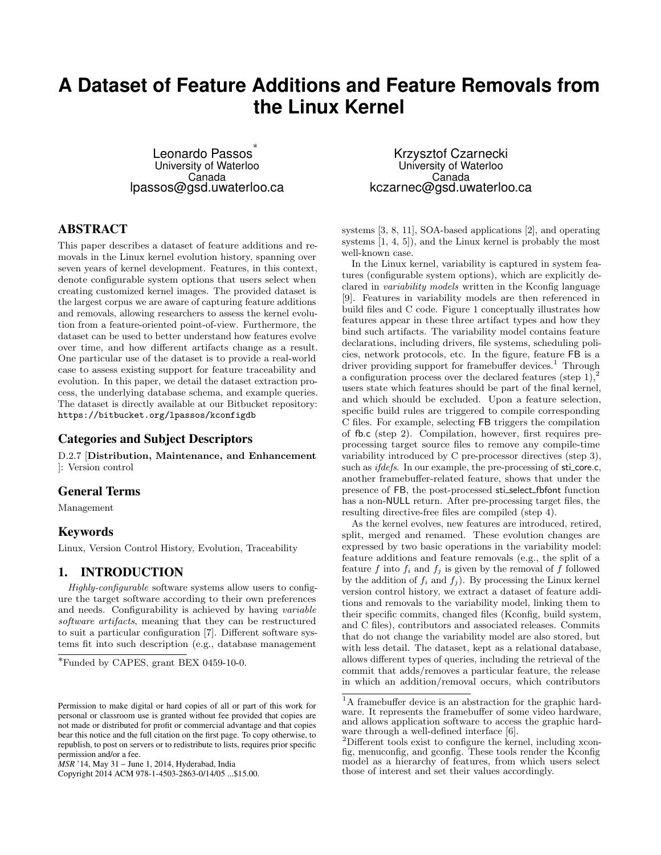# **A Dataset of Feature Additions and Feature Removals from the Linux Kernel**

Leonardo Passos ∗ University of Waterloo Canada lpassos@gsd.uwaterloo.ca

## ABSTRACT

This paper describes a dataset of feature additions and removals in the Linux kernel evolution history, spanning over seven years of kernel development. Features, in this context, denote configurable system options that users select when creating customized kernel images. The provided dataset is the largest corpus we are aware of capturing feature additions and removals, allowing researchers to assess the kernel evolution from a feature-oriented point-of-view. Furthermore, the dataset can be used to better understand how features evolve over time, and how different artifacts change as a result. One particular use of the dataset is to provide a real-world case to assess existing support for feature traceability and evolution. In this paper, we detail the dataset extraction process, the underlying database schema, and example queries. The dataset is directly available at our Bitbucket repository: https://bitbucket.org/lpassos/kconfigdb

#### Categories and Subject Descriptors

D.2.7 [Distribution, Maintenance, and Enhancement ]: Version control

## General Terms

Management

#### Keywords

Linux, Version Control History, Evolution, Traceability

## 1. INTRODUCTION

Highly-configurable software systems allow users to configure the target software according to their own preferences and needs. Configurability is achieved by having variable software artifacts, meaning that they can be restructured to suit a particular configuration [7]. Different software systems fit into such description (e.g., database management

Copyright 2014 ACM 978-1-4503-2863-0/14/05 ...\$15.00.

Krzysztof Czarnecki University of Waterloo Canada kczarnec@gsd.uwaterloo.ca

systems [3, 8, 11], SOA-based applications [2], and operating systems [1, 4, 5]), and the Linux kernel is probably the most well-known case.

In the Linux kernel, variability is captured in system features (configurable system options), which are explicitly declared in variability models written in the Kconfig language [9]. Features in variability models are then referenced in build files and C code. Figure 1 conceptually illustrates how features appear in these three artifact types and how they bind such artifacts. The variability model contains feature declarations, including drivers, file systems, scheduling policies, network protocols, etc. In the figure, feature FB is a driver providing support for framebuffer devices.<sup>1</sup> Through a configuration process over the declared features (step 1), users state which features should be part of the final kernel, and which should be excluded. Upon a feature selection, specific build rules are triggered to compile corresponding C files. For example, selecting FB triggers the compilation of fb.c (step 2). Compilation, however, first requires preprocessing target source files to remove any compile-time variability introduced by C pre-processor directives (step 3), such as *ifdefs*. In our example, the pre-processing of sti\_core.c, another framebuffer-related feature, shows that under the presence of FB, the post-processed sti select fbfont function has a non-NULL return. After pre-processing target files, the resulting directive-free files are compiled (step 4).

As the kernel evolves, new features are introduced, retired, split, merged and renamed. These evolution changes are expressed by two basic operations in the variability model: feature additions and feature removals (e.g., the split of a feature f into  $f_i$  and  $f_j$  is given by the removal of f followed by the addition of  $f_i$  and  $f_j$ ). By processing the Linux kernel version control history, we extract a dataset of feature additions and removals to the variability model, linking them to their specific commits, changed files (Kconfig, build system, and C files), contributors and associated releases. Commits that do not change the variability model are also stored, but with less detail. The dataset, kept as a relational database, allows different types of queries, including the retrieval of the commit that adds/removes a particular feature, the release in which an addition/removal occurs, which contributors

<sup>∗</sup>Funded by CAPES, grant BEX 0459-10-0.

Permission to make digital or hard copies of all or part of this work for personal or classroom use is granted without fee provided that copies are not made or distributed for profit or commercial advantage and that copies bear this notice and the full citation on the first page. To copy otherwise, to republish, to post on servers or to redistribute to lists, requires prior specific permission and/or a fee.

*MSR* '14, May 31 – June 1, 2014, Hyderabad, India

<sup>&</sup>lt;sup>1</sup>A framebuffer device is an abstraction for the graphic hardware. It represents the framebuffer of some video hardware, and allows application software to access the graphic hardware through a well-defined interface [6].

<sup>2</sup>Different tools exist to configure the kernel, including xconfig, menuconfig, and gconfig. These tools render the Kconfig model as a hierarchy of features, from which users select those of interest and set their values accordingly.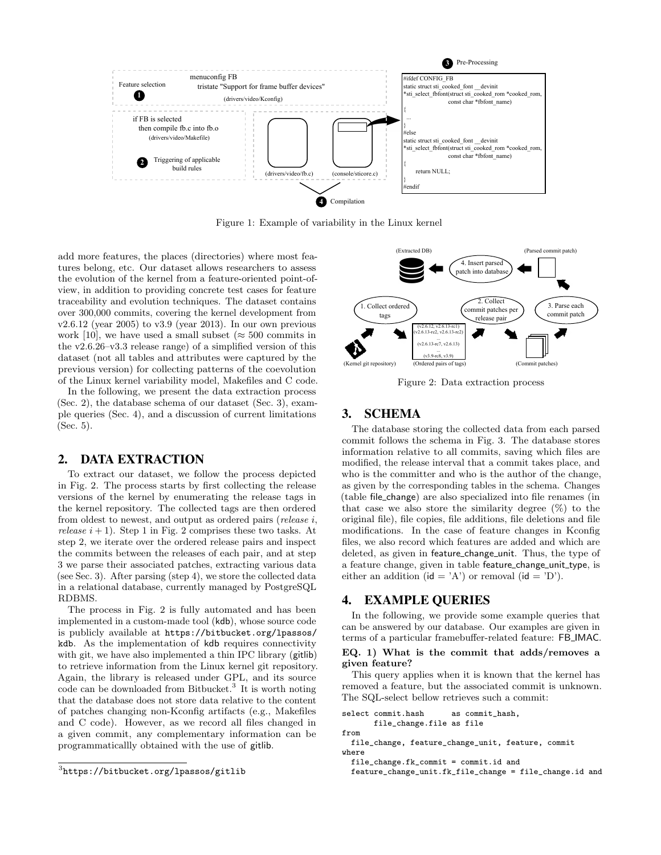

Figure 1: Example of variability in the Linux kernel

add more features, the places (directories) where most features belong, etc. Our dataset allows researchers to assess the evolution of the kernel from a feature-oriented point-ofview, in addition to providing concrete test cases for feature traceability and evolution techniques. The dataset contains over 300,000 commits, covering the kernel development from  $v2.6.12$  (year 2005) to  $v3.9$  (year 2013). In our own previous work [10], we have used a small subset ( $\approx$  500 commits in the v2.6.26–v3.3 release range) of a simplified version of this dataset (not all tables and attributes were captured by the previous version) for collecting patterns of the coevolution of the Linux kernel variability model, Makefiles and C code.

In the following, we present the data extraction process (Sec. 2), the database schema of our dataset (Sec. 3), example queries (Sec. 4), and a discussion of current limitations (Sec. 5).

#### 2. DATA EXTRACTION

To extract our dataset, we follow the process depicted in Fig. 2. The process starts by first collecting the release versions of the kernel by enumerating the release tags in the kernel repository. The collected tags are then ordered from oldest to newest, and output as ordered pairs (release i, release  $i + 1$ ). Step 1 in Fig. 2 comprises these two tasks. At step 2, we iterate over the ordered release pairs and inspect the commits between the releases of each pair, and at step 3 we parse their associated patches, extracting various data (see Sec. 3). After parsing (step 4), we store the collected data in a relational database, currently managed by PostgreSQL RDBMS.

The process in Fig. 2 is fully automated and has been implemented in a custom-made tool (kdb), whose source code is publicly available at https://bitbucket.org/lpassos/ kdb. As the implementation of kdb requires connectivity with git, we have also implemented a thin IPC library (gitlib) to retrieve information from the Linux kernel git repository. Again, the library is released under GPL, and its source code can be downloaded from Bitbucket.<sup>3</sup> It is worth noting that the database does not store data relative to the content of patches changing non-Kconfig artifacts (e.g., Makefiles and C code). However, as we record all files changed in a given commit, any complementary information can be programmaticallly obtained with the use of gitlib.



Figure 2: Data extraction process

#### 3. SCHEMA

The database storing the collected data from each parsed commit follows the schema in Fig. 3. The database stores information relative to all commits, saving which files are modified, the release interval that a commit takes place, and who is the committer and who is the author of the change, as given by the corresponding tables in the schema. Changes (table file change) are also specialized into file renames (in that case we also store the similarity degree  $(\%)$  to the original file), file copies, file additions, file deletions and file modifications. In the case of feature changes in Kconfig files, we also record which features are added and which are deleted, as given in feature\_change\_unit. Thus, the type of a feature change, given in table feature\_change\_unit\_type, is either an addition ( $id = 'A'$ ) or removal ( $id = 'D'$ ).

#### 4. EXAMPLE QUERIES

In the following, we provide some example queries that can be answered by our database. Our examples are given in terms of a particular framebuffer-related feature: FB IMAC.

#### EQ. 1) What is the commit that adds/removes a given feature?

This query applies when it is known that the kernel has removed a feature, but the associated commit is unknown. The SQL-select bellow retrieves such a commit:

```
select commit.hash as commit_hash,
      file_change.file as file
```

```
from
```
file\_change, feature\_change\_unit, feature, commit where

```
file_change.fk_commit = commit.id and
```
feature\_change\_unit.fk\_file\_change = file\_change.id and

 $^3$ https://bitbucket.org/lpassos/gitlib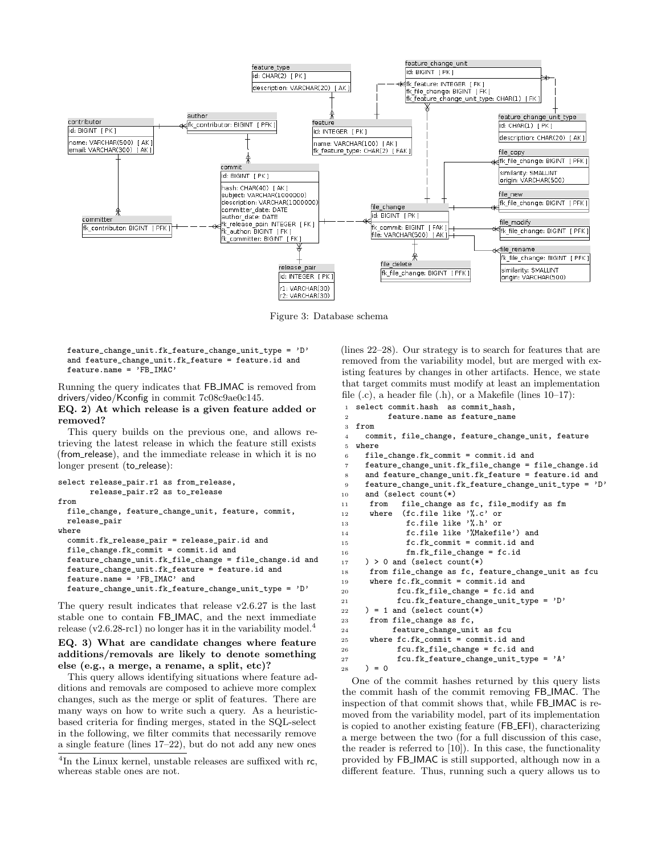

Figure 3: Database schema

feature\_change\_unit.fk\_feature\_change\_unit\_type = 'D' and feature\_change\_unit.fk\_feature = feature.id and feature.name = 'FB\_IMAC'

Running the query indicates that FB IMAC is removed from drivers/video/Kconfig in commit 7c08c9ae0c145.

#### EQ. 2) At which release is a given feature added or removed?

This query builds on the previous one, and allows retrieving the latest release in which the feature still exists (from release), and the immediate release in which it is no longer present (to\_release):

```
select release pair.r1 as from release.
       release_pair.r2 as to_release
from
 file_change, feature_change_unit, feature, commit,
 release_pair
where
  commit.fk_release_pair = release_pair.id and
 file_change.fk_commit = commit.id and
 feature_change_unit.fk_file_change = file_change.id and
 feature_change_unit.fk_feature = feature.id and
 feature.name = 'FB_IMAC' and
 feature_change_unit.fk_feature_change_unit_type = 'D'
```
The query result indicates that release v2.6.27 is the last stable one to contain FB IMAC, and the next immediate release  $(v2.6.28\text{-}rc1)$  no longer has it in the variability model.<sup>4</sup>

```
EQ. 3) What are candidate changes where feature
additions/removals are likely to denote something
else (e.g., a merge, a rename, a split, etc)?
```
This query allows identifying situations where feature additions and removals are composed to achieve more complex changes, such as the merge or split of features. There are many ways on how to write such a query. As a heuristicbased criteria for finding merges, stated in the SQL-select in the following, we filter commits that necessarily remove a single feature (lines 17–22), but do not add any new ones

(lines 22–28). Our strategy is to search for features that are removed from the variability model, but are merged with existing features by changes in other artifacts. Hence, we state that target commits must modify at least an implementation file  $(c)$ , a header file  $(h)$ , or a Makefile (lines  $10-17$ ):

```
1 select commit.hash as commit_hash,
2 feature.name as feature_name
3 from
4 commit, file_change, feature_change_unit, feature
5 where
6 file_change.fk_commit = commit.id and
7 feature_change_unit.fk_file_change = file_change.id
     and feature_change_unit.fk_feature = feature.id and
9 feature_change_unit.fk_feature_change_unit_type = 'D'
10 and (select count(*)<br>11 from file change
11 from file_change as fc, file_modify as fm<br>12 where (fc.file like '%.c' or
12 where (fc.file like '%.c' or
13 fc.file like '%.h' or<br>14 fc.file like '%Makefi
             14 fc.file like '%Makefile') and
15 fc.fk_commit = commit.id and
16 fm.fk_file_change = fc.id
17 ) > 0 and (select count(*)
18 from file_change as fc, feature_change_unit as fcu
19 where fc.fk_commit = commit.id and
20 fcu.fk_file_change = fc.id and
21 fcu.fk_feature_change_unit_type = 'D'
22 ) = 1 and (select count(*)
23 from file_change as fc,
24 feature_change_unit as fcu
25 where fc.fk commit = commit.id and
26 fcu.fk_file_change = fc.id and
27 fcu.fk_feature_change_unit_type = 'A'
28 ) = 0
```
One of the commit hashes returned by this query lists the commit hash of the commit removing FB IMAC. The inspection of that commit shows that, while FB IMAC is removed from the variability model, part of its implementation is copied to another existing feature (FB EFI), characterizing a merge between the two (for a full discussion of this case, the reader is referred to [10]). In this case, the functionality provided by FB IMAC is still supported, although now in a different feature. Thus, running such a query allows us to

<sup>&</sup>lt;sup>4</sup>In the Linux kernel, unstable releases are suffixed with rc, whereas stable ones are not.